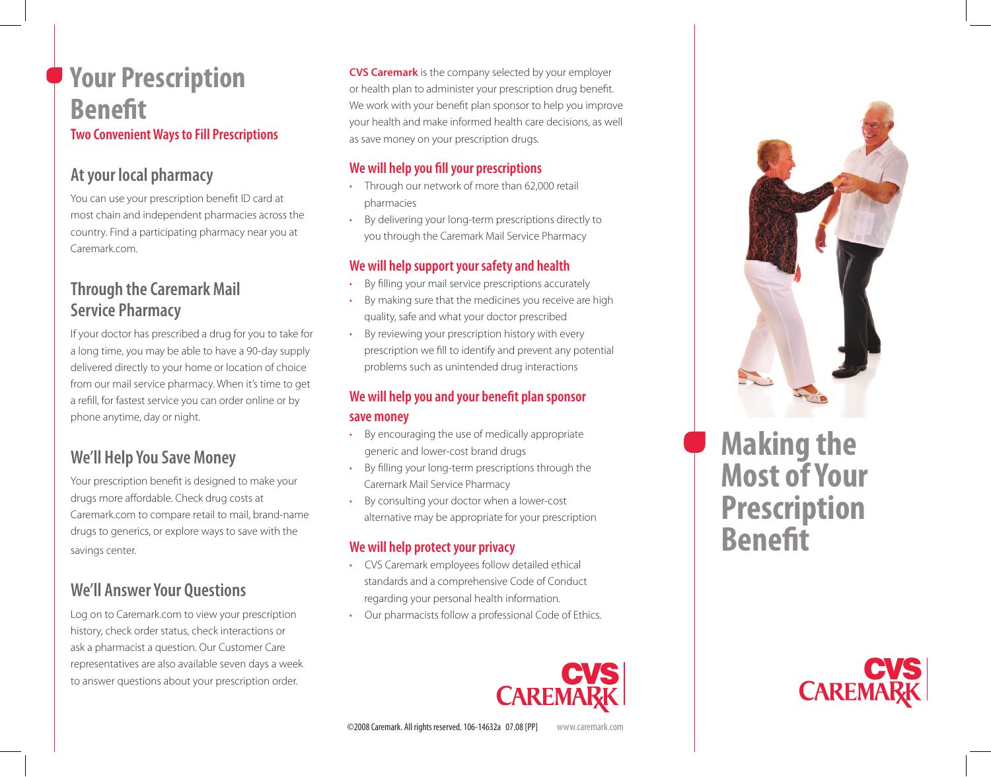## **Your Prescription Benefit Two Convenient Ways to Fill Prescriptions**

## **At your local pharmacy**

You can use your prescription benefit ID card at most chain and independent pharmacies across the country. Find a participating pharmacy near you at Caremark.com.

## **Through the Caremark Mail Service Pharmacy**

If your doctor has prescribed a drug for you to take for a long time, you may be able to have a 90-day supply delivered directly to your home or location of choice from our mail service pharmacy. When it's time to get a refill, for fastest service you can order online or by phone anytime, day or night.

## **We'll Help You Save Money**

Your prescription benefit is designed to make your drugs more affordable. Check drug costs at Caremark.com to compare retail to mail, brand-name drugs to generics, or explore ways to save with the savings center.

## **We'll Answer Your Questions**

Log on to Caremark.com to view your prescription history, check order status, check interactions or ask a pharmacist a question. Our Customer Care representatives are also available seven days a week to answer questions about your prescription order.

**CVS Caremark** is the company selected by your employer or health plan to administer your prescription drug benefit. We work with your benefit plan sponsor to help you improve your health and make informed health care decisions, as well as save money on your prescription drugs.

#### **We will help you fill your prescriptions**

- Through our network of more than 62,000 retail pharmacies
- By delivering your long-term prescriptions directly to you through the Caremark Mail Service Pharmacy

#### **We will help support your safety and health**

- By filling your mail service prescriptions accurately
- By making sure that the medicines you receive are high quality, safe and what your doctor prescribed
- By reviewing your prescription history with every prescription we fill to identify and prevent any potential problems such as unintended drug interactions

#### **We will help you and your benefit plan sponsor save money**

- By encouraging the use of medically appropriate generic and lower-cost brand drugs
- By filling your long-term prescriptions through the Caremark Mail Service Pharmacy
- By consulting your doctor when a lower-cost alternative may be appropriate for your prescription

#### **We will help protect your privacy**

- CVS Caremark employees follow detailed ethical standards and a comprehensive Code of Conduct regarding your personal health information.
- Our pharmacists follow a professional Code of Ethics.





# **Making the Most of Your Prescription Benefit**